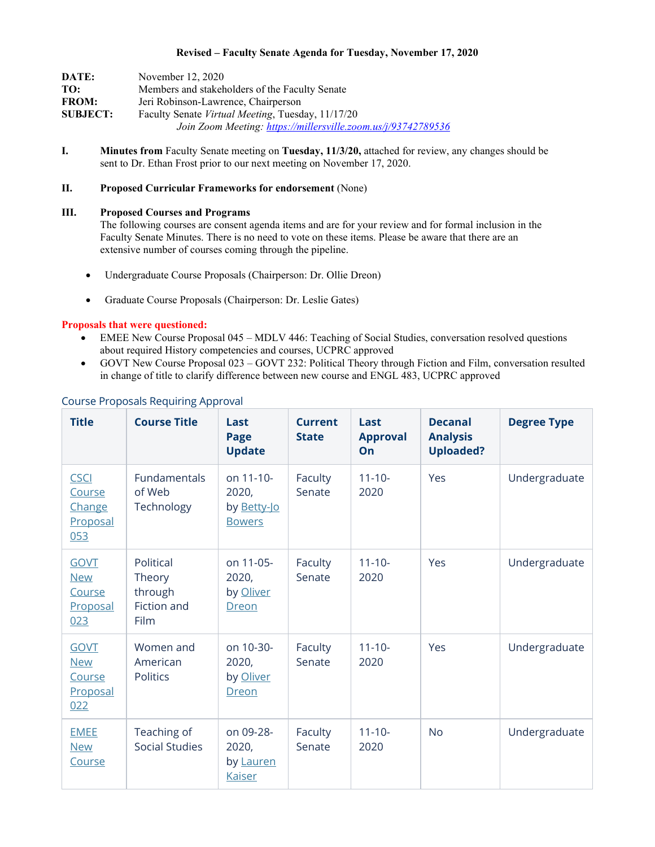## **Revised – Faculty Senate Agenda for Tuesday, November 17, 2020**

| DATE:           | November 12, 2020                                             |
|-----------------|---------------------------------------------------------------|
| TO:             | Members and stakeholders of the Faculty Senate                |
| <b>FROM:</b>    | Jeri Robinson-Lawrence, Chairperson                           |
| <b>SUBJECT:</b> | Faculty Senate <i>Virtual Meeting</i> , Tuesday, 11/17/20     |
|                 | Join Zoom Meeting: https://millersville.zoom.us/j/93742789536 |

**I. Minutes from** Faculty Senate meeting on **Tuesday, 11/3/20,** attached for review, any changes should be sent to Dr. Ethan Frost prior to our next meeting on November 17, 2020.

# **II. Proposed Curricular Frameworks for endorsement** (None)

#### **III. Proposed Courses and Programs**

The following courses are consent agenda items and are for your review and for formal inclusion in the Faculty Senate Minutes. There is no need to vote on these items. Please be aware that there are an extensive number of courses coming through the pipeline.

- Undergraduate Course Proposals (Chairperson: Dr. Ollie Dreon)
- Graduate Course Proposals (Chairperson: Dr. Leslie Gates)

### **Proposals that were questioned:**

- EMEE New Course Proposal 045 MDLV 446: Teaching of Social Studies, conversation resolved questions about required History competencies and courses, UCPRC approved
- GOVT New Course Proposal 023 GOVT 232: Political Theory through Fiction and Film, conversation resulted in change of title to clarify difference between new course and ENGL 483, UCPRC approved

| <b>Title</b>                                           | <b>Course Title</b>                                   | Last<br>Page<br><b>Update</b>                      | <b>Current</b><br><b>State</b> | Last<br><b>Approval</b><br>On | <b>Decanal</b><br><b>Analysis</b><br><b>Uploaded?</b> | <b>Degree Type</b> |
|--------------------------------------------------------|-------------------------------------------------------|----------------------------------------------------|--------------------------------|-------------------------------|-------------------------------------------------------|--------------------|
| <b>CSCI</b><br>Course<br>Change<br>Proposal<br>053     | Fundamentals<br>of Web<br>Technology                  | on 11-10-<br>2020,<br>by Betty-Jo<br><b>Bowers</b> | Faculty<br>Senate              | $11 - 10 -$<br>2020           | Yes                                                   | Undergraduate      |
| <b>GOVT</b><br><b>New</b><br>Course<br>Proposal<br>023 | Political<br>Theory<br>through<br>Fiction and<br>Film | on 11-05-<br>2020,<br>by Oliver<br>Dreon           | Faculty<br>Senate              | $11 - 10 -$<br>2020           | Yes                                                   | Undergraduate      |
| <b>GOVT</b><br><b>New</b><br>Course<br>Proposal<br>022 | Women and<br>American<br><b>Politics</b>              | on 10-30-<br>2020,<br>by Oliver<br>Dreon           | Faculty<br>Senate              | $11 - 10 -$<br>2020           | Yes                                                   | Undergraduate      |
| <b>EMEE</b><br><b>New</b><br>Course                    | Teaching of<br><b>Social Studies</b>                  | on 09-28-<br>2020,<br>by Lauren<br><b>Kaiser</b>   | Faculty<br>Senate              | $11 - 10 -$<br>2020           | <b>No</b>                                             | Undergraduate      |

## Course Proposals Requiring Approval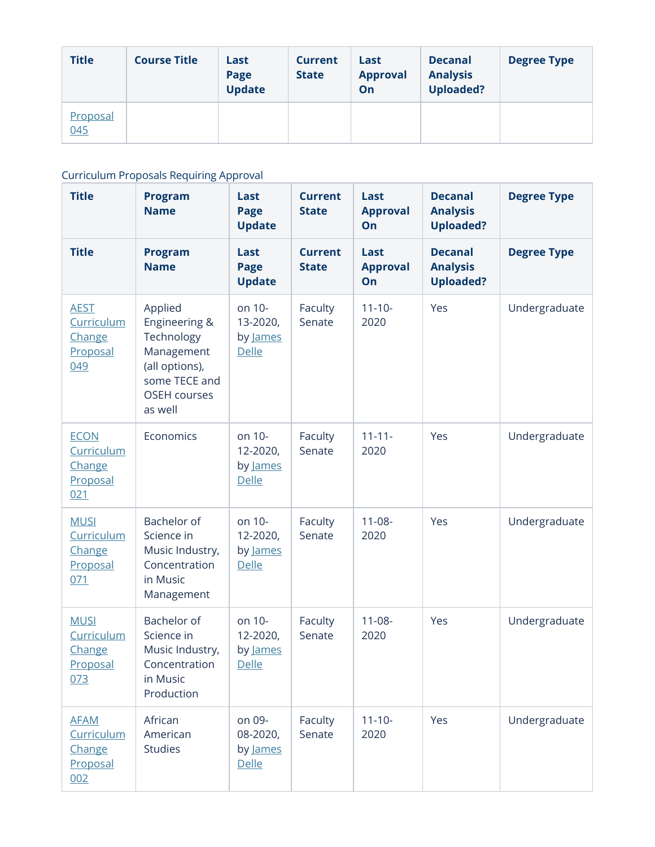| <b>Title</b>    | <b>Course Title</b> | Last<br>Page<br><b>Update</b> | <b>Current</b><br><b>State</b> | Last<br><b>Approval</b><br>On | <b>Decanal</b><br><b>Analysis</b><br><b>Uploaded?</b> | <b>Degree Type</b> |
|-----------------|---------------------|-------------------------------|--------------------------------|-------------------------------|-------------------------------------------------------|--------------------|
| Proposal<br>045 |                     |                               |                                |                               |                                                       |                    |

# Curriculum Proposals Requiring Approval

| <b>Title</b>                                           | <b>Program</b><br><b>Name</b>                                                                                             | Last<br><b>Page</b><br><b>Update</b>           | <b>Current</b><br><b>State</b> | Last<br><b>Approval</b><br>On | <b>Decanal</b><br><b>Analysis</b><br><b>Uploaded?</b> | <b>Degree Type</b> |
|--------------------------------------------------------|---------------------------------------------------------------------------------------------------------------------------|------------------------------------------------|--------------------------------|-------------------------------|-------------------------------------------------------|--------------------|
| <b>Title</b>                                           | <b>Program</b><br><b>Name</b>                                                                                             | Last<br>Page<br><b>Update</b>                  | <b>Current</b><br><b>State</b> | Last<br><b>Approval</b><br>On | <b>Decanal</b><br><b>Analysis</b><br><b>Uploaded?</b> | <b>Degree Type</b> |
| <b>AEST</b><br>Curriculum<br>Change<br>Proposal<br>049 | Applied<br>Engineering &<br>Technology<br>Management<br>(all options),<br>some TECE and<br><b>OSEH</b> courses<br>as well | on 10-<br>13-2020,<br>by James<br><b>Delle</b> | Faculty<br>Senate              | $11 - 10 -$<br>2020           | Yes                                                   | Undergraduate      |
| <b>ECON</b><br>Curriculum<br>Change<br>Proposal<br>021 | Economics                                                                                                                 | on 10-<br>12-2020,<br>by James<br>Delle        | Faculty<br>Senate              | $11 - 11 -$<br>2020           | Yes                                                   | Undergraduate      |
| <b>MUSI</b><br>Curriculum<br>Change<br>Proposal<br>071 | Bachelor of<br>Science in<br>Music Industry,<br>Concentration<br>in Music<br>Management                                   | on 10-<br>12-2020,<br>by James<br>Delle        | Faculty<br>Senate              | $11-08-$<br>2020              | Yes                                                   | Undergraduate      |
| <b>MUSI</b><br>Curriculum<br>Change<br>Proposal<br>073 | Bachelor of<br>Science in<br>Music Industry,<br>Concentration<br>in Music<br>Production                                   | on 10-<br>12-2020,<br>by James<br>Delle        | Faculty<br>Senate              | $11 - 08 -$<br>2020           | Yes                                                   | Undergraduate      |
| <b>AFAM</b><br>Curriculum<br>Change<br>Proposal<br>002 | African<br>American<br><b>Studies</b>                                                                                     | on 09-<br>08-2020,<br>by James<br><b>Delle</b> | Faculty<br>Senate              | $11 - 10 -$<br>2020           | Yes                                                   | Undergraduate      |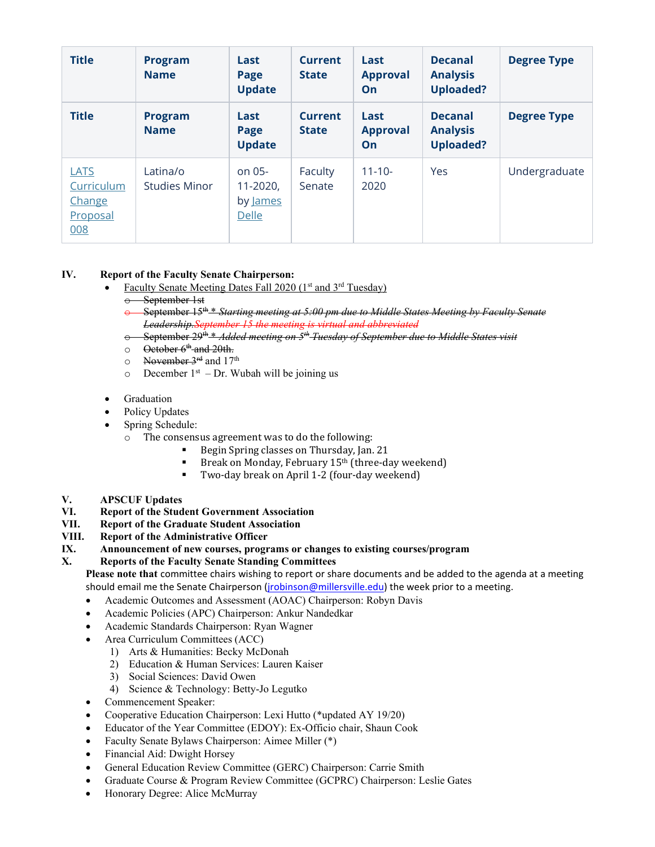| <b>Title</b>                                    | <b>Program</b><br><b>Name</b>    | Last<br>Page<br><b>Update</b>             | <b>Current</b><br><b>State</b> | Last<br><b>Approval</b><br>On | <b>Decanal</b><br><b>Analysis</b><br><b>Uploaded?</b> | <b>Degree Type</b> |
|-------------------------------------------------|----------------------------------|-------------------------------------------|--------------------------------|-------------------------------|-------------------------------------------------------|--------------------|
| <b>Title</b>                                    | <b>Program</b><br><b>Name</b>    | Last<br>Page<br><b>Update</b>             | <b>Current</b><br><b>State</b> | Last<br><b>Approval</b><br>On | <b>Decanal</b><br><b>Analysis</b><br><b>Uploaded?</b> | <b>Degree Type</b> |
| LATS<br>Curriculum<br>Change<br>Proposal<br>008 | Latina/o<br><b>Studies Minor</b> | on $05-$<br>11-2020,<br>by James<br>Delle | Faculty<br>Senate              | $11 - 10 -$<br>2020           | Yes                                                   | Undergraduate      |

# **IV. Report of the Faculty Senate Chairperson:**

- Faculty Senate Meeting Dates Fall 2020 (1st and 3rd Tuesday)
	- September 1st
	- September 15<sup>th</sup> \* *Starting meeting at 5:00 pm due to Middle States Meeting by Faculty Senate Leadership.September 15 the meeting is virtual and abbreviated*
	- o September 29th \* *Added meeting on 5th Tuesday of September due to Middle States visit*
	- $\circ$  October  $6<sup>th</sup>$  and 20th.
	- o November 3rd and 17th
	- $\circ$  December 1<sup>st</sup> Dr. Wubah will be joining us
- **Graduation**
- Policy Updates
- Spring Schedule:
	- o The consensus agreement was to do the following:
		- Begin Spring classes on Thursday, Jan. 21<br>Break on Monday, February 15th (three-day
			- Break on Monday, February 15<sup>th</sup> (three-day weekend)
			- Two-day break on April 1-2 (four-day weekend)
- **V. APSCUF Updates**
- **VI. Report of the Student Government Association**
- **VII. Report of the Graduate Student Association**
- **VIII. Report of the Administrative Officer**
- **IX. Announcement of new courses, programs or changes to existing courses/program**

## **X. Reports of the Faculty Senate Standing Committees**

**Please note that** committee chairs wishing to report or share documents and be added to the agenda at a meeting should email me the Senate Chairperson [\(jrobinson@millersville.edu\)](mailto:jrobinson@millersville.edu) the week prior to a meeting.

- Academic Outcomes and Assessment (AOAC) Chairperson: Robyn Davis
- Academic Policies (APC) Chairperson: Ankur Nandedkar
- Academic Standards Chairperson: Ryan Wagner
- Area Curriculum Committees (ACC)
	- 1) Arts & Humanities: Becky McDonah
	- 2) Education & Human Services: Lauren Kaiser
	- 3) Social Sciences: David Owen
	- 4) Science & Technology: Betty-Jo Legutko
- Commencement Speaker:
- Cooperative Education Chairperson: Lexi Hutto (\*updated AY 19/20)
- Educator of the Year Committee (EDOY): Ex-Officio chair, Shaun Cook
- Faculty Senate Bylaws Chairperson: Aimee Miller (\*)
- Financial Aid: Dwight Horsey
- General Education Review Committee (GERC) Chairperson: Carrie Smith
- Graduate Course & Program Review Committee (GCPRC) Chairperson: Leslie Gates
- Honorary Degree: Alice McMurray